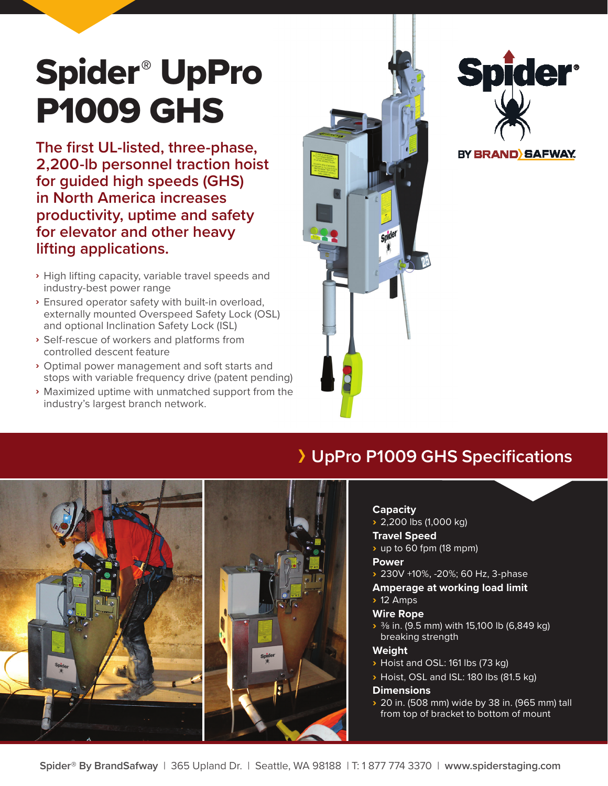# Spider® UpPro P1009 GHS

**The first UL-listed, three-phase, 2,200-lb personnel traction hoist for guided high speeds (GHS) in North America increases productivity, uptime and safety for elevator and other heavy lifting applications.**

- › High lifting capacity, variable travel speeds and industry-best power range
- › Ensured operator safety with built-in overload, externally mounted Overspeed Safety Lock (OSL) and optional Inclination Safety Lock (ISL)
- › Self-rescue of workers and platforms from controlled descent feature
- › Optimal power management and soft starts and stops with variable frequency drive (patent pending)
- › Maximized uptime with unmatched support from the industry's largest branch network.





BY BRAND SAFWAY.

## **UpPro P1009 GHS Specifications**

#### **Capacity**

 $\rightarrow 2,200$  lbs (1,000 kg)

### **Travel Speed**

› up to 60 fpm (18 mpm)

#### **Power**

- › 230V +10%, -20%; 60 Hz, 3-phase
- **Amperage at working load limit** › 12 Amps

## **Wire Rope**

**>**  $\frac{3}{8}$  in. (9.5 mm) with 15,100 lb (6,849 kg) breaking strength

## **Weight**

- › Hoist and OSL: 161 lbs (73 kg)
- › Hoist, OSL and ISL: 180 lbs (81.5 kg)

### **Dimensions**

› 20 in. (508 mm) wide by 38 in. (965 mm) tall from top of bracket to bottom of mount